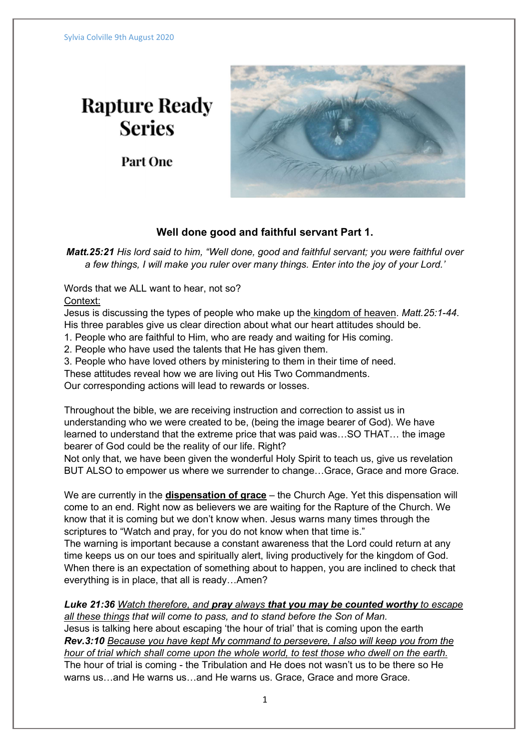## **Rapture Ready Series**

Part One



## Well done good and faithful servant Part 1.

Matt.25:21 His lord said to him, "Well done, good and faithful servant; you were faithful over a few things, I will make you ruler over many things. Enter into the joy of your Lord.'

Words that we ALL want to hear, not so?

Context:

Jesus is discussing the types of people who make up the kingdom of heaven. Matt.25:1-44. His three parables give us clear direction about what our heart attitudes should be.

1. People who are faithful to Him, who are ready and waiting for His coming.

2. People who have used the talents that He has given them.

3. People who have loved others by ministering to them in their time of need.

These attitudes reveal how we are living out His Two Commandments.

Our corresponding actions will lead to rewards or losses.

Throughout the bible, we are receiving instruction and correction to assist us in understanding who we were created to be, (being the image bearer of God). We have learned to understand that the extreme price that was paid was…SO THAT… the image bearer of God could be the reality of our life. Right?

Not only that, we have been given the wonderful Holy Spirit to teach us, give us revelation BUT ALSO to empower us where we surrender to change…Grace, Grace and more Grace.

We are currently in the **dispensation of grace** – the Church Age. Yet this dispensation will come to an end. Right now as believers we are waiting for the Rapture of the Church. We know that it is coming but we don't know when. Jesus warns many times through the scriptures to "Watch and pray, for you do not know when that time is."

The warning is important because a constant awareness that the Lord could return at any time keeps us on our toes and spiritually alert, living productively for the kingdom of God. When there is an expectation of something about to happen, you are inclined to check that everything is in place, that all is ready…Amen?

Luke 21:36 Watch therefore, and pray always that you may be counted worthy to escape all these things that will come to pass, and to stand before the Son of Man.

Jesus is talking here about escaping 'the hour of trial' that is coming upon the earth Rev.3:10 Because you have kept My command to persevere, I also will keep you from the hour of trial which shall come upon the whole world, to test those who dwell on the earth. The hour of trial is coming - the Tribulation and He does not wasn't us to be there so He warns us…and He warns us…and He warns us. Grace, Grace and more Grace.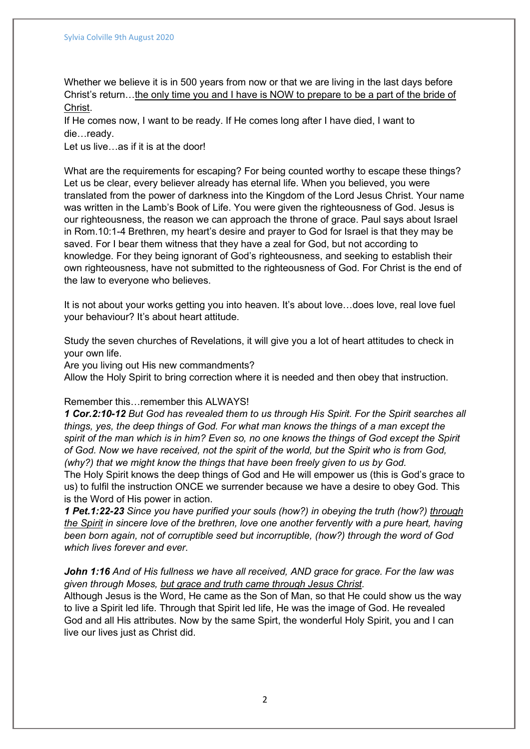Whether we believe it is in 500 years from now or that we are living in the last days before Christ's return…the only time you and I have is NOW to prepare to be a part of the bride of Christ.

If He comes now, I want to be ready. If He comes long after I have died, I want to die…ready.

Let us live…as if it is at the door!

What are the requirements for escaping? For being counted worthy to escape these things? Let us be clear, every believer already has eternal life. When you believed, you were translated from the power of darkness into the Kingdom of the Lord Jesus Christ. Your name was written in the Lamb's Book of Life. You were given the righteousness of God. Jesus is our righteousness, the reason we can approach the throne of grace. Paul says about Israel in Rom.10:1-4 Brethren, my heart's desire and prayer to God for Israel is that they may be saved. For I bear them witness that they have a zeal for God, but not according to knowledge. For they being ignorant of God's righteousness, and seeking to establish their own righteousness, have not submitted to the righteousness of God. For Christ is the end of the law to everyone who believes.

It is not about your works getting you into heaven. It's about love…does love, real love fuel your behaviour? It's about heart attitude.

Study the seven churches of Revelations, it will give you a lot of heart attitudes to check in your own life.

Are you living out His new commandments?

Allow the Holy Spirit to bring correction where it is needed and then obey that instruction.

## Remember this…remember this ALWAYS!

1 Cor.2:10-12 But God has revealed them to us through His Spirit. For the Spirit searches all things, yes, the deep things of God. For what man knows the things of a man except the spirit of the man which is in him? Even so, no one knows the things of God except the Spirit of God. Now we have received, not the spirit of the world, but the Spirit who is from God, (why?) that we might know the things that have been freely given to us by God.

The Holy Spirit knows the deep things of God and He will empower us (this is God's grace to us) to fulfil the instruction ONCE we surrender because we have a desire to obey God. This is the Word of His power in action.

1 Pet.1:22-23 Since you have purified your souls (how?) in obeying the truth (how?) through the Spirit in sincere love of the brethren, love one another fervently with a pure heart, having been born again, not of corruptible seed but incorruptible, (how?) through the word of God which lives forever and ever.

John 1:16 And of His fullness we have all received. AND grace for grace. For the law was given through Moses, but grace and truth came through Jesus Christ.

Although Jesus is the Word, He came as the Son of Man, so that He could show us the way to live a Spirit led life. Through that Spirit led life, He was the image of God. He revealed God and all His attributes. Now by the same Spirt, the wonderful Holy Spirit, you and I can live our lives just as Christ did.